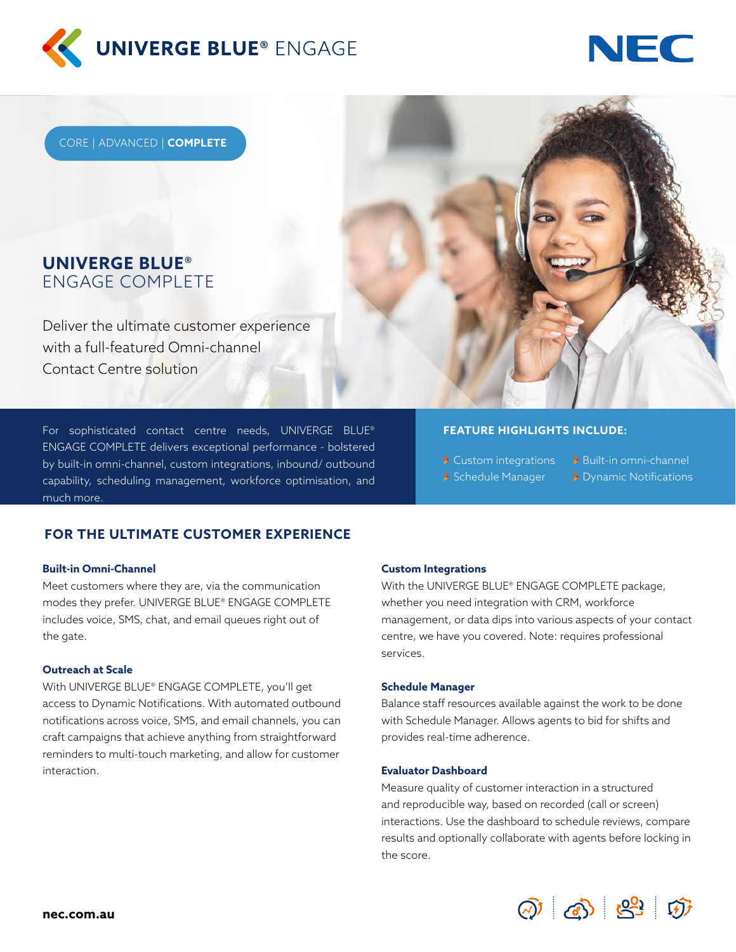



CORE | ADVANCED | **COMPLETE**

# **UNIVERGE BLUE®**  ENGAGE COMPLETE

Deliver the ultimate customer experience with a full-featured Omni-channel Contact Centre solution

For sophisticated contact centre needs, UNIVERGE BLUE® ENGAGE COMPLETE delivers exceptional performance - bolstered by built-in omni-channel, custom integrations, inbound/ outbound capability, scheduling management, workforce optimisation, and much more.

# **FOR THE ULTIMATE CUSTOMER EXPERIENCE**

### **Built-in Omni-Channel**

Meet customers where they are, via the communication modes they prefer. UNIVERGE BLUE® ENGAGE COMPLETE includes voice, SMS, chat, and email queues right out of the gate.

#### **Outreach at Scale**

With UNIVERGE BLUE® ENGAGE COMPLETE, you'll get access to Dynamic Notifications. With automated outbound notifications across voice, SMS, and email channels, you can craft campaigns that achieve anything from straightforward reminders to multi-touch marketing, and allow for customer interaction.

**Custom Integrations**

With the UNIVERGE BLUE® ENGAGE COMPLETE package, whether you need integration with CRM, workforce management, or data dips into various aspects of your contact centre, we have you covered. Note: requires professional services.

**FEATURE HIGHLIGHTS INCLUDE:**

> Custom integrations > Built-in omni-channel Schedule Manager Dynamic Notifications

#### **Schedule Manager**

Balance staff resources available against the work to be done with Schedule Manager. Allows agents to bid for shifts and provides real-time adherence.

#### **Evaluator Dashboard**

Measure quality of customer interaction in a structured and reproducible way, based on recorded (call or screen) interactions. Use the dashboard to schedule reviews, compare results and optionally collaborate with agents before locking in the score.